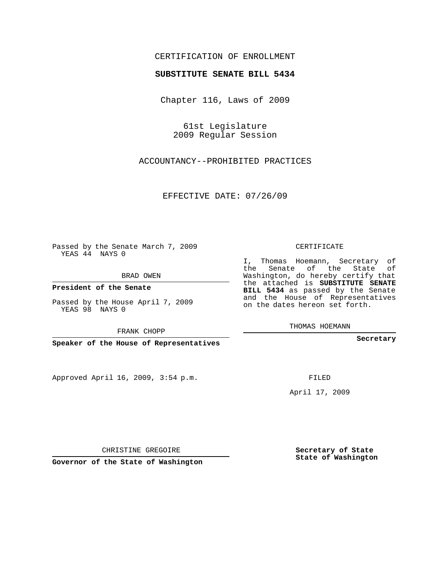## CERTIFICATION OF ENROLLMENT

## **SUBSTITUTE SENATE BILL 5434**

Chapter 116, Laws of 2009

61st Legislature 2009 Regular Session

ACCOUNTANCY--PROHIBITED PRACTICES

EFFECTIVE DATE: 07/26/09

Passed by the Senate March 7, 2009 YEAS 44 NAYS 0

BRAD OWEN

**President of the Senate**

Passed by the House April 7, 2009 YEAS 98 NAYS 0

FRANK CHOPP

**Speaker of the House of Representatives**

Approved April 16, 2009, 3:54 p.m.

CERTIFICATE

I, Thomas Hoemann, Secretary of the Senate of the State of Washington, do hereby certify that the attached is **SUBSTITUTE SENATE BILL 5434** as passed by the Senate and the House of Representatives on the dates hereon set forth.

THOMAS HOEMANN

**Secretary**

FILED

April 17, 2009

**Governor of the State of Washington**

CHRISTINE GREGOIRE

**Secretary of State State of Washington**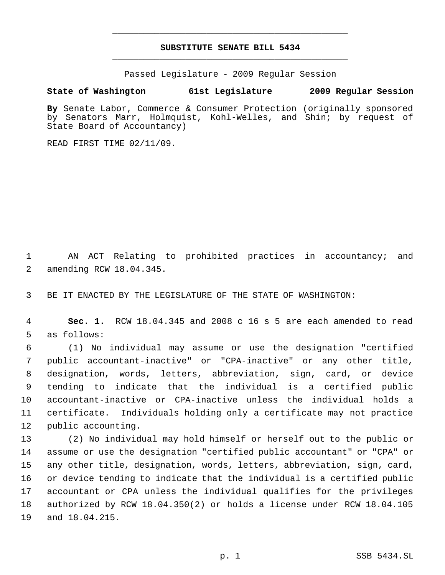## **SUBSTITUTE SENATE BILL 5434** \_\_\_\_\_\_\_\_\_\_\_\_\_\_\_\_\_\_\_\_\_\_\_\_\_\_\_\_\_\_\_\_\_\_\_\_\_\_\_\_\_\_\_\_\_

\_\_\_\_\_\_\_\_\_\_\_\_\_\_\_\_\_\_\_\_\_\_\_\_\_\_\_\_\_\_\_\_\_\_\_\_\_\_\_\_\_\_\_\_\_

Passed Legislature - 2009 Regular Session

## **State of Washington 61st Legislature 2009 Regular Session**

**By** Senate Labor, Commerce & Consumer Protection (originally sponsored by Senators Marr, Holmquist, Kohl-Welles, and Shin; by request of State Board of Accountancy)

READ FIRST TIME 02/11/09.

 AN ACT Relating to prohibited practices in accountancy; and amending RCW 18.04.345.

BE IT ENACTED BY THE LEGISLATURE OF THE STATE OF WASHINGTON:

 **Sec. 1.** RCW 18.04.345 and 2008 c 16 s 5 are each amended to read as follows:

 (1) No individual may assume or use the designation "certified public accountant-inactive" or "CPA-inactive" or any other title, designation, words, letters, abbreviation, sign, card, or device tending to indicate that the individual is a certified public accountant-inactive or CPA-inactive unless the individual holds a certificate. Individuals holding only a certificate may not practice public accounting.

 (2) No individual may hold himself or herself out to the public or assume or use the designation "certified public accountant" or "CPA" or any other title, designation, words, letters, abbreviation, sign, card, or device tending to indicate that the individual is a certified public accountant or CPA unless the individual qualifies for the privileges authorized by RCW 18.04.350(2) or holds a license under RCW 18.04.105 and 18.04.215.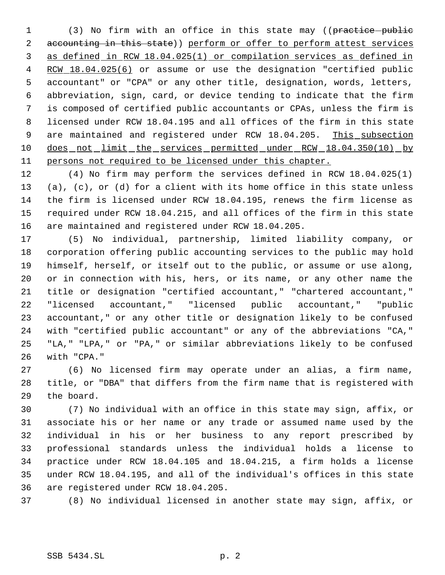1 (3) No firm with an office in this state may ((practice public 2 accounting in this state)) perform or offer to perform attest services as defined in RCW 18.04.025(1) or compilation services as defined in 4 RCW 18.04.025(6) or assume or use the designation "certified public accountant" or "CPA" or any other title, designation, words, letters, abbreviation, sign, card, or device tending to indicate that the firm is composed of certified public accountants or CPAs, unless the firm is licensed under RCW 18.04.195 and all offices of the firm in this state 9 are maintained and registered under RCW 18.04.205. This subsection 10 does not limit the services permitted under RCW 18.04.350(10) by persons not required to be licensed under this chapter.

 (4) No firm may perform the services defined in RCW 18.04.025(1) (a), (c), or (d) for a client with its home office in this state unless the firm is licensed under RCW 18.04.195, renews the firm license as required under RCW 18.04.215, and all offices of the firm in this state are maintained and registered under RCW 18.04.205.

 (5) No individual, partnership, limited liability company, or corporation offering public accounting services to the public may hold himself, herself, or itself out to the public, or assume or use along, or in connection with his, hers, or its name, or any other name the title or designation "certified accountant," "chartered accountant," "licensed accountant," "licensed public accountant," "public accountant," or any other title or designation likely to be confused with "certified public accountant" or any of the abbreviations "CA," "LA," "LPA," or "PA," or similar abbreviations likely to be confused with "CPA."

 (6) No licensed firm may operate under an alias, a firm name, title, or "DBA" that differs from the firm name that is registered with the board.

 (7) No individual with an office in this state may sign, affix, or associate his or her name or any trade or assumed name used by the individual in his or her business to any report prescribed by professional standards unless the individual holds a license to practice under RCW 18.04.105 and 18.04.215, a firm holds a license under RCW 18.04.195, and all of the individual's offices in this state are registered under RCW 18.04.205.

(8) No individual licensed in another state may sign, affix, or